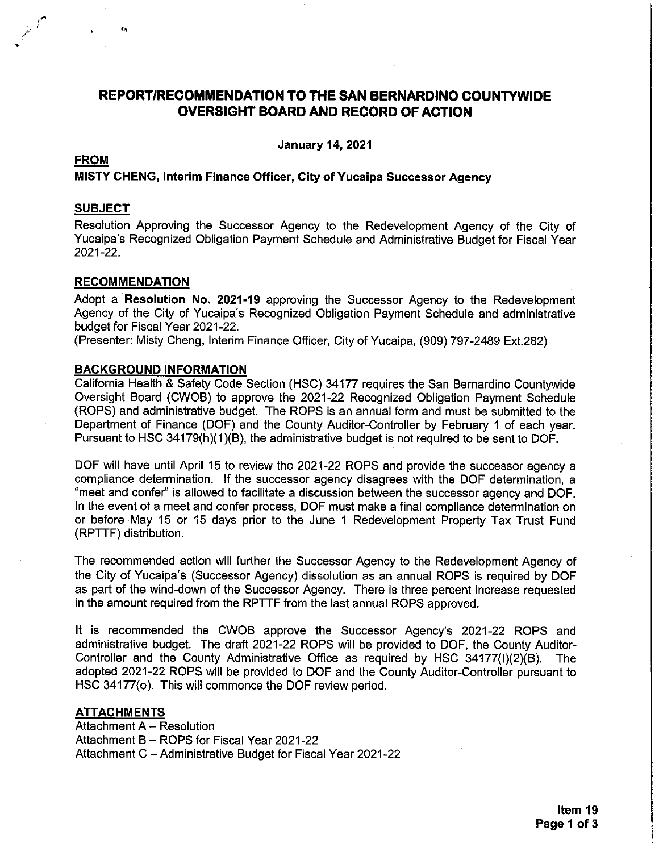# **REPORT/RECOMMENDATION TO THE SAN BERNARDINO COUNTYWIDE OVERSIGHT BOARD AND RECORD OF ACTION**

**January 14, 2021** 

## **FROM**

#### MISTY CHENG, Interim Finance Officer, City of Yucaipa Successor Agency

#### **SUBJECT**

Resolution Approving the Successor Agency to the Redevelopment Agency of the City of Yucaipa's Recognized Obligation Payment Schedule and Administrative Budget for Fiscal Year 2021-22.

#### **RECOMMENDATION**

Adopt a **Resolution No. 2021-19** approving the Successor Agency to the Redevelopment Agency of the City of Yucaipa's Recognized Obligation Payment Schedule and administrative budget for Fiscal Year 2021-22.

(Presenter: Misty Cheng, Interim Finance Officer, City of Yucaipa, (909) 797-2489 Ext.282)

#### **BACKGROUND INFORMATION**

California Health & Safety Code Section (HSC) 34177 requires the San Bernardino Countywide Oversight Board (CWOB) to approve the 2021-22 Recognized Obligation Payment Schedule (ROPS) and administrative budget. The ROPS is an annual form and must be submitted to the Department of Finance (DOF) and the County Auditor-Controller by February 1 of each year. Pursuant to HSC 34179(h)(1)(B), the administrative budget is not required to be sent to DOF.

DOF will have until April 15 to review the 2021-22 ROPS and provide the successor agency a compliance determination. If the successor agency disagrees with the DOF determination, a "meet and confer" is allowed to facilitate a discussion between the successor agency and DOF. In the event of a meet and confer process, DOF must make a final compliance determination on or before May 15 or 15 days prior to the June 1 Redevelopment Property Tax Trust Fund (RPTTF) distribution.

The recommended action will further the Successor Agency to the Redevelopment Agency of the City of Yucaipa's (Successor Agency) dissolution as an annual ROPS is required by DOF as part of the wind-down of the Successor Agency. There is three percent increase requested in the amount required from the RPTTF from the last annual ROPS approved.

It is recommended the CWOB approve the Successor Agency's 2021-22 ROPS and administrative budget. The draft 2021-22 ROPS will be provided to DOF, the County Auditor-Controller and the County Administrative Office as required by HSC 34177(I)(2)(B). The adopted 2021-22 ROPS will be provided to DOF and the County Auditor-Controller pursuant to HSC 34177(o). This will commence the DOF review period.

## **ATTACHMENTS**

Attachment A - Resolution Attachment B - ROPS for Fiscal Year 2021-22 Attachment C - Administrative Budget for Fiscal Year 2021-22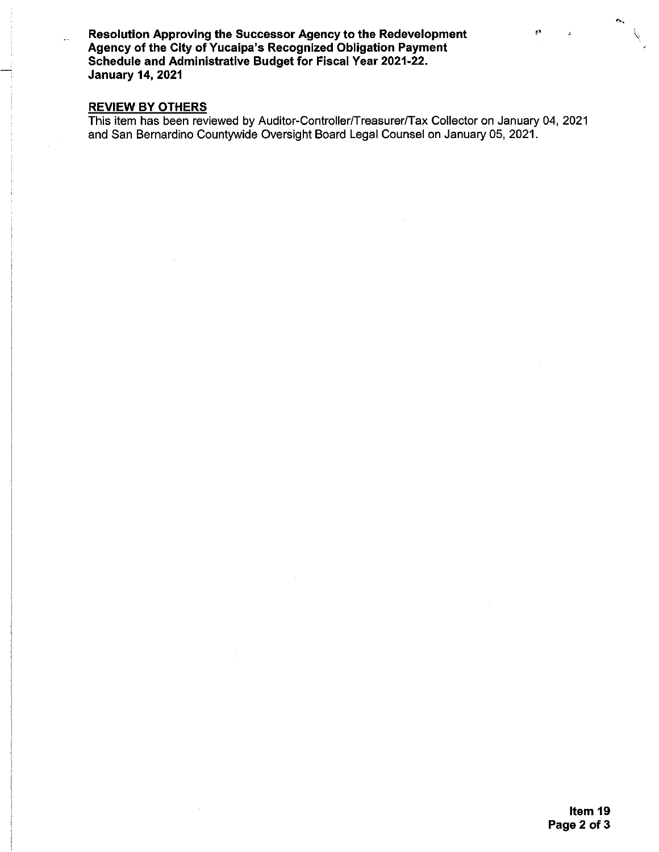Resolution Approving the Successor Agency to the Redevelopment Agency of the City of Yucaipa's Recognized Obligation Payment Schedule and Administrative Budget for Fiscal Year 2021-22. **January 14, 2021** 

# **REVIEW BY OTHERS**

 $\downarrow$  .

This item has been reviewed by Auditor-Controller/Treasurer/Tax Collector on January 04, 2021 and San Bernardino Countywide Oversight Board Legal Counsel on January 05, 2021.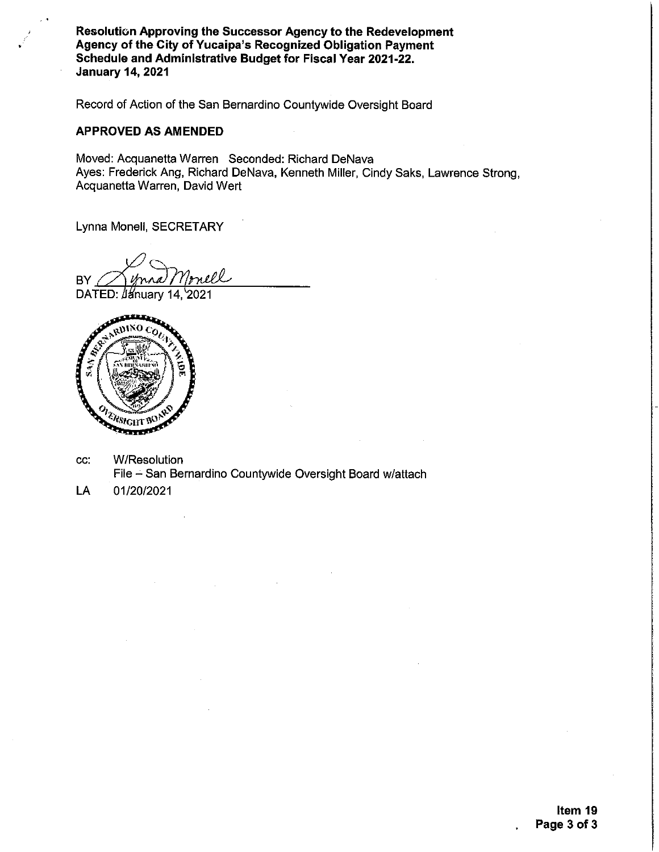Resolution Approving the Successor Agency to the Redevelopment Agency of the City of Yucaipa's Recognized Obligation Payment Schedule and Administrative Budget for Fiscal Year 2021-22. **January 14, 2021** 

Record of Action of the San Bernardino Countywide Oversight Board

#### **APPROVED AS AMENDED**

Moved: Acquanetta Warren Seconded: Richard DeNava Ayes: Frederick Ang, Richard DeNava, Kenneth Miller, Cindy Saks, Lawrence Strong, Acquanetta Warren, David Wert

Lynna Monell, SECRETARY

**BY** 

DATED: January 14, 2021



- CC. **W/Resolution** File - San Bernardino Countywide Oversight Board w/attach
- LA 01/20/2021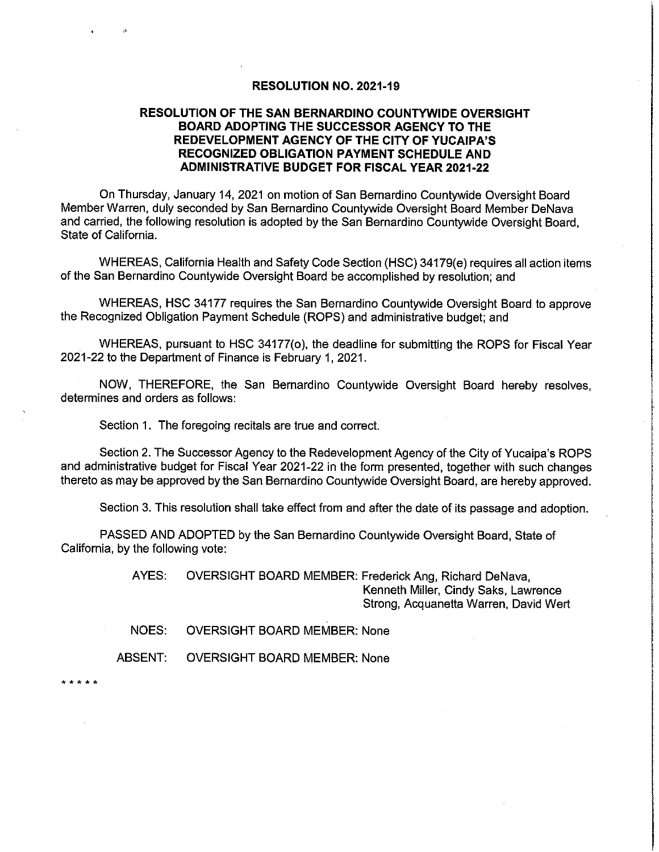#### RESOLUTION NO. 2021-19

#### **RESOLUTION OF THE SAN BERNARDINO COUNTYWIDE OVERSIGHT** BOARD ADOPTING THE SUCCESSOR AGENCY TO THE REDEVELOPMENT AGENCY OF THE CITY OF YUCAIPA'S RECOGNIZED OBLIGATION PAYMENT SCHEDULE AND **ADMINISTRATIVE BUDGET FOR FISCAL YEAR 2021-22**

On Thursday, January 14, 2021 on motion of San Bernardino Countywide Oversight Board Member Warren, duly seconded by San Bernardino Countywide Oversight Board Member DeNaya and carried, the following resolution is adopted by the San Bernardino Countywide Oversight Board, State of California.

WHEREAS, California Health and Safety Code Section (HSC) 34179(e) requires all action items of the San Bernardino Countywide Oversight Board be accomplished by resolution; and

WHEREAS, HSC 34177 requires the San Bernardino Countywide Oversight Board to approve the Recognized Obligation Payment Schedule (ROPS) and administrative budget; and

WHEREAS, pursuant to HSC 34177(o), the deadline for submitting the ROPS for Fiscal Year 2021-22 to the Department of Finance is February 1, 2021.

NOW, THEREFORE, the San Bernardino Countywide Oversight Board hereby resolves. determines and orders as follows:

Section 1. The foregoing recitals are true and correct.

Section 2. The Successor Agency to the Redevelopment Agency of the City of Yucaipa's ROPS and administrative budget for Fiscal Year 2021-22 in the form presented, together with such changes thereto as may be approved by the San Bernardino Countywide Oversight Board, are hereby approved.

Section 3. This resolution shall take effect from and after the date of its passage and adoption.

PASSED AND ADOPTED by the San Bernardino Countywide Oversight Board, State of California, by the following vote:

> AYES: OVERSIGHT BOARD MEMBER: Frederick Ang, Richard DeNava, Kenneth Miller, Cindy Saks, Lawrence Strong, Acquanetta Warren, David Wert

NOES: **OVERSIGHT BOARD MEMBER: None** 

**ABSENT: OVERSIGHT BOARD MEMBER: None**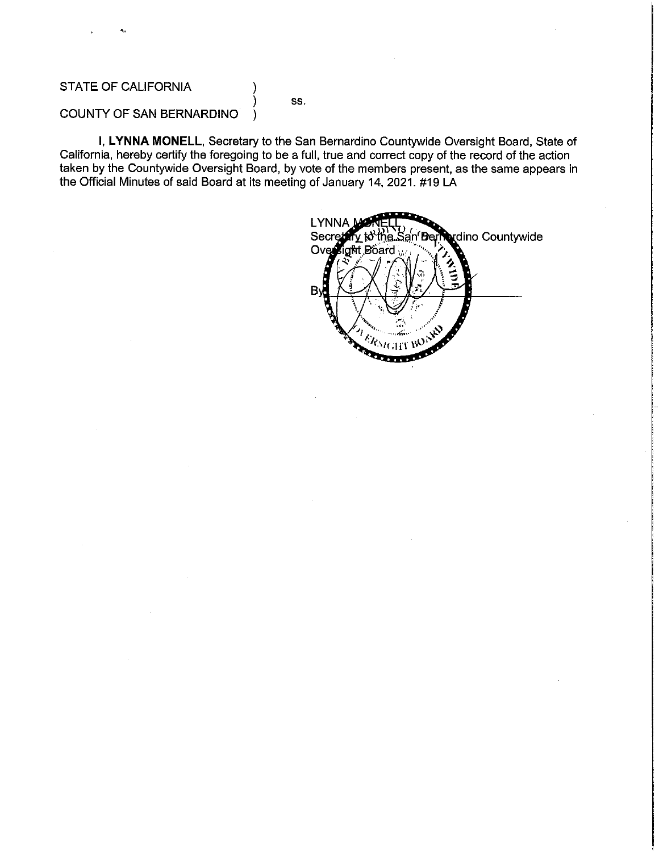## STATE OF CALIFORNIA

SS.

#### COUNTY OF SAN BERNARDINO )

I, LYNNA MONELL, Secretary to the San Bernardino Countywide Oversight Board, State of California, hereby certify the foregoing to be a full, true and correct copy of the record of the action taken by the Countywide Oversight Board, by vote of the members present, as the same appears in the Official Minutes of said Board at its meeting of January 14, 2021. #19 LA

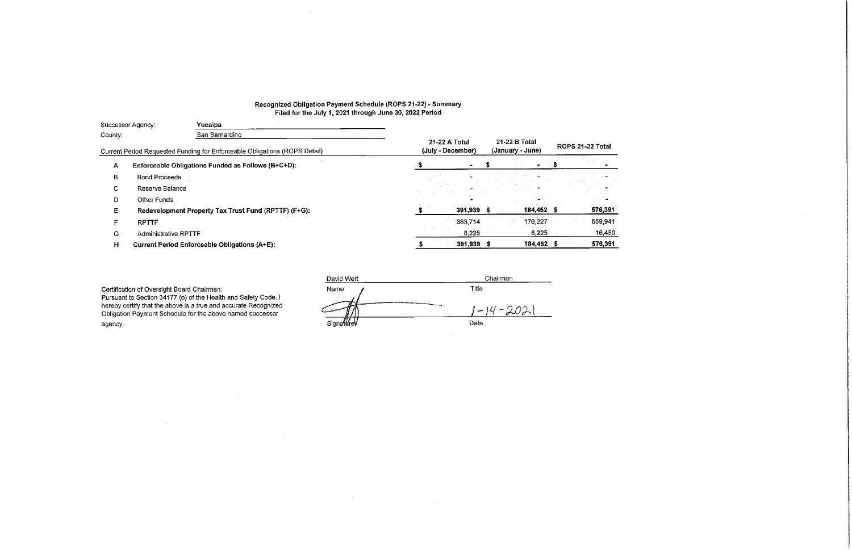## Recognized Obligation Payment Schedule (ROPS 21-22) - Summary Filed for the July 1, 2021 through June 30, 2022 Period

| Successor Agency: |                             | Yucaipa                                                                    |                                    |                                   |                  |  |         |
|-------------------|-----------------------------|----------------------------------------------------------------------------|------------------------------------|-----------------------------------|------------------|--|---------|
| County:           |                             | San Bernardino                                                             |                                    |                                   |                  |  |         |
|                   |                             | Current Period Requested Funding for Enforceable Obligations (ROPS Detail) | 21-22 A Total<br>(July - December) | 21-22 B Total<br>(January - June) | ROPS 21-22 Total |  |         |
| $\mathsf{A}$      |                             | Enforceable Obligations Funded as Follows (B+C+D):                         |                                    |                                   |                  |  |         |
| B                 | <b>Bond Proceeds</b>        |                                                                            |                                    |                                   |                  |  |         |
| C.                | Reserve Balance             |                                                                            |                                    |                                   |                  |  |         |
| D                 | <b>Other Funds</b>          |                                                                            |                                    |                                   |                  |  |         |
| E.                |                             | Redevelopment Property Tax Trust Fund (RPTTF) (F+G):                       |                                    | 391,939                           | 184,452 \$       |  | 576,391 |
| F.                | <b>RPTTF</b>                |                                                                            |                                    | 383,714                           | 176,227          |  | 559,941 |
| G                 | <b>Administrative RPTTF</b> |                                                                            |                                    | 8,225                             | 8,225            |  | 16,450  |
| H.                |                             | <b>Current Period Enforceable Obligations (A+E):</b>                       |                                    | 391,939 \$                        | 184,452 \$       |  | 576,391 |
|                   |                             |                                                                            |                                    |                                   |                  |  |         |

 $\mathcal{L}^{\text{max}}_{\text{max}}$ 

 $\sim 100$  km s  $^{-1}$ 

Certification of Oversight Board Chairman:<br>Pursuant to Section 34177 (o) of the Health and Safety Code, I hereby certify that the above is a true and accurate Recognized Obligation Payment Schedule for the above named successor agency.

| David Wert | Chairman |
|------------|----------|
| Name       | Title    |
| л. э       | $-14-20$ |
| Signature  | Date     |

 $\mathcal{L}^{\text{max}}_{\text{max}}$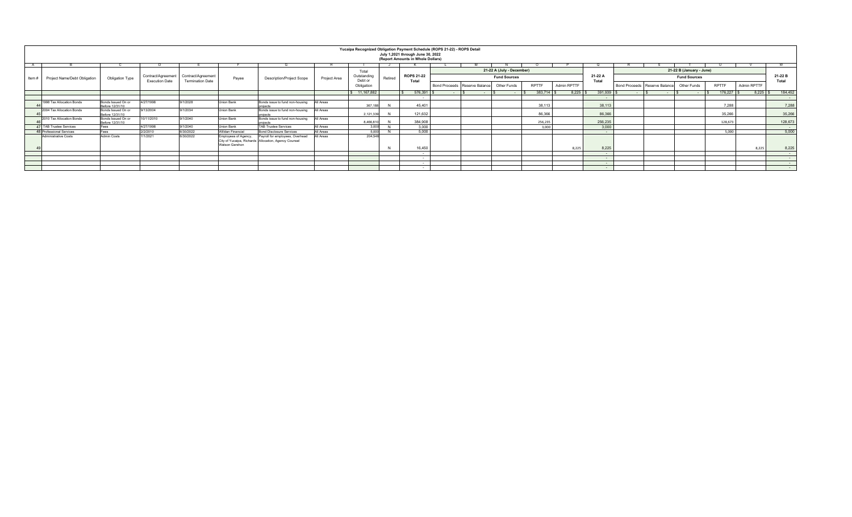|                    |                                 |                                       |                       |                         |                                        |                                                                                         |              | Yucaipa Recognized Obligation Payment Schedule (ROPS 21-22) - ROPS Detail |         | July 1,2021 through June 30, 2022 |                      |                 |                     |              |             |                  |                               |  |                     |                          |             |                  |  |  |  |
|--------------------|---------------------------------|---------------------------------------|-----------------------|-------------------------|----------------------------------------|-----------------------------------------------------------------------------------------|--------------|---------------------------------------------------------------------------|---------|-----------------------------------|----------------------|-----------------|---------------------|--------------|-------------|------------------|-------------------------------|--|---------------------|--------------------------|-------------|------------------|--|--|--|
|                    |                                 |                                       |                       |                         |                                        |                                                                                         |              |                                                                           |         | (Report Amounts in Whole Dollars) |                      |                 |                     |              |             |                  |                               |  |                     |                          |             |                  |  |  |  |
|                    |                                 |                                       |                       |                         |                                        |                                                                                         |              |                                                                           |         |                                   |                      |                 |                     |              |             |                  |                               |  |                     |                          |             |                  |  |  |  |
|                    |                                 |                                       |                       |                         |                                        |                                                                                         |              |                                                                           |         |                                   | Total                |                 |                     |              |             |                  | 21-22 A (July - December)     |  |                     | 21-22 B (January - June) |             |                  |  |  |  |
| Item # $\parallel$ | Project Name/Debt Obligation    | Obligation Type                       | Contract/Agreement    | Contract/Agreement      | Payee                                  | <b>Description/Project Scope</b>                                                        | Project Area | Outstanding                                                               | Retired | <b>ROPS 21-22</b>                 |                      |                 | <b>Fund Sources</b> |              |             | 21-22 A<br>Total |                               |  | <b>Fund Sources</b> |                          |             | 21-22 B<br>Total |  |  |  |
|                    |                                 |                                       | <b>Execution Date</b> | <b>Termination Date</b> |                                        |                                                                                         |              | Debt or<br>Obligation                                                     |         | Total                             | <b>Bond Proceeds</b> | Reserve Balance | Other Funds         | <b>RPTTF</b> | Admin RPTTF |                  | Bond Proceeds Reserve Balance |  | Other Funds         | <b>RPTTF</b>             | Admin RPTTF |                  |  |  |  |
|                    |                                 |                                       |                       |                         |                                        |                                                                                         |              | 11,167,882                                                                |         | 576,391                           |                      |                 |                     | 383,714      | 8,225       | 391,939          |                               |  |                     | 176,227                  |             | 184,452          |  |  |  |
|                    |                                 |                                       |                       |                         |                                        |                                                                                         |              |                                                                           |         |                                   |                      |                 |                     |              |             | $\sim$           |                               |  |                     |                          |             |                  |  |  |  |
|                    | 1998 Tax Allocation Bonds       | Bonds Issued On or<br>Before 12/31/10 | 4/27/1998             | 9/1/2028                | Union Bank                             | Bonds issue to fund non-housing                                                         | All Areas    | 367,18                                                                    |         | 45,401                            |                      |                 |                     | 38,113       |             | 38,113           |                               |  |                     | 7,288                    |             | 7,288            |  |  |  |
|                    | 2004 Tax Allocation Bonds       | Bonds Issued On or<br>Before 12/31/10 | 9/13/2004             | 9/1/2034                | Union Bank                             | Bonds issue to fund non-housing                                                         | All Areas    | 2,121,339                                                                 |         | 121,632                           |                      |                 |                     | 86,366       |             | 86,366           |                               |  |                     | 35,266                   |             | 35,266           |  |  |  |
|                    | 2010 Tax Allocation Bonds       | Bonds Issued On or<br>Before 12/31/10 | 10/11/2010            | 9/1/2040                | Union Bank                             | Bonds issue to fund non-housing<br>arolects                                             | All Areas    | 8,466,81                                                                  |         | 384.908                           |                      |                 |                     | 256.235      |             | 256,235          |                               |  |                     | 128.673                  |             | 128,673          |  |  |  |
|                    | <b>47 TAB Trustee Services</b>  | Fees                                  | 4/27/1998             | 9/1/2040                | Union Bank                             | <b>TAB Trustee Services</b>                                                             | All Areas    | 3.000                                                                     |         | 3,000                             |                      |                 |                     | 3,000        |             | 3,000            |                               |  |                     |                          |             |                  |  |  |  |
|                    | <b>48 Professional Services</b> | Fees                                  | 2/2/2010              | 6/30/2022               | Willdan Financial                      | <b>Bond Disclosure Services</b>                                                         | All Areas    | 5.000                                                                     |         | 5.000                             |                      |                 |                     |              |             |                  |                               |  |                     | 5.000                    |             | 5,000            |  |  |  |
|                    | Administrative Costs            | <b>Admin Costs</b>                    | 7/1/2021              | 6/30/2022               | Employees of Agency,<br>Watson Gershon | Payroll for employees, Overhead<br>City of Yucaipa, Richards Allocation, Agency Counsel | All Areas    | 204.54                                                                    |         | 16,450                            |                      |                 |                     |              | 8,225       | 8,225            |                               |  |                     |                          | 8.225       |                  |  |  |  |
|                    |                                 |                                       |                       |                         |                                        |                                                                                         |              |                                                                           |         |                                   |                      |                 |                     |              |             |                  |                               |  |                     |                          |             | 8,225            |  |  |  |
|                    |                                 |                                       |                       |                         |                                        |                                                                                         |              |                                                                           |         | . .                               |                      |                 |                     |              |             | $\sim$           |                               |  |                     |                          |             | $\sim$           |  |  |  |
|                    |                                 |                                       |                       |                         |                                        |                                                                                         |              |                                                                           |         | . .                               |                      |                 |                     |              |             | $\sim$           |                               |  |                     |                          |             | $\sim$           |  |  |  |
|                    |                                 |                                       |                       |                         |                                        |                                                                                         |              |                                                                           |         | . .                               |                      |                 |                     |              |             | $\sim$           |                               |  |                     |                          |             | $\sim$           |  |  |  |
|                    |                                 |                                       |                       |                         |                                        |                                                                                         |              |                                                                           |         |                                   |                      |                 |                     |              |             | $\sim$           |                               |  |                     |                          |             | $\sim$           |  |  |  |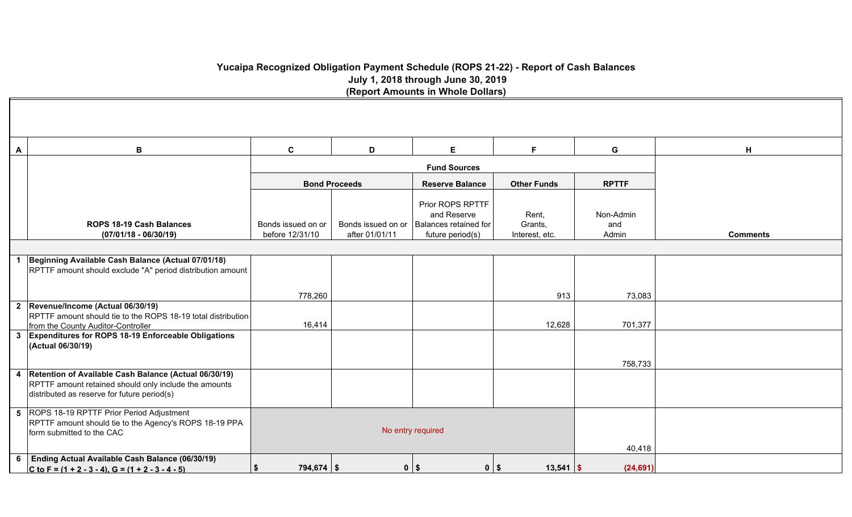# **Yucaipa Recognized Obligation Payment Schedule (ROPS 21-22) - Report of Cash Balances July 1, 2018 through June 30, 2019 (Report Amounts in Whole Dollars)**

| A | B                                                                                                                                        | $\mathbf{C}$                          | D                    | E.                                                                                              | F.                                 | G                         | H               |
|---|------------------------------------------------------------------------------------------------------------------------------------------|---------------------------------------|----------------------|-------------------------------------------------------------------------------------------------|------------------------------------|---------------------------|-----------------|
|   |                                                                                                                                          |                                       |                      | <b>Fund Sources</b>                                                                             |                                    |                           |                 |
|   |                                                                                                                                          |                                       | <b>Bond Proceeds</b> | <b>Reserve Balance</b>                                                                          | <b>Other Funds</b>                 | <b>RPTTF</b>              |                 |
|   | ROPS 18-19 Cash Balances<br>$(07/01/18 - 06/30/19)$                                                                                      | Bonds issued on or<br>before 12/31/10 | after 01/01/11       | Prior ROPS RPTTF<br>and Reserve<br>Bonds issued on or Balances retained for<br>future period(s) | Rent,<br>Grants,<br>Interest, etc. | Non-Admin<br>and<br>Admin | <b>Comments</b> |
|   |                                                                                                                                          |                                       |                      |                                                                                                 |                                    |                           |                 |
|   | Beginning Available Cash Balance (Actual 07/01/18)<br>RPTTF amount should exclude "A" period distribution amount                         |                                       |                      |                                                                                                 |                                    |                           |                 |
|   |                                                                                                                                          | 778,260                               |                      |                                                                                                 | 913                                | 73,083                    |                 |
|   | 2 Revenue/Income (Actual 06/30/19)<br>RPTTF amount should tie to the ROPS 18-19 total distribution<br>from the County Auditor-Controller | 16,414                                |                      |                                                                                                 | 12,628                             | 701,377                   |                 |
|   | 3 Expenditures for ROPS 18-19 Enforceable Obligations<br>(Actual 06/30/19)                                                               |                                       |                      |                                                                                                 |                                    |                           |                 |
|   | 4 Retention of Available Cash Balance (Actual 06/30/19)                                                                                  |                                       |                      |                                                                                                 |                                    | 758,733                   |                 |
|   | RPTTF amount retained should only include the amounts<br>distributed as reserve for future period(s)                                     |                                       |                      |                                                                                                 |                                    |                           |                 |
|   | 5 ROPS 18-19 RPTTF Prior Period Adjustment<br>RPTTF amount should tie to the Agency's ROPS 18-19 PPA<br>form submitted to the CAC        |                                       |                      | No entry required                                                                               |                                    | 40,418                    |                 |
| 6 | <b>Ending Actual Available Cash Balance (06/30/19)</b><br>C to F = $(1 + 2 - 3 - 4)$ , G = $(1 + 2 - 3 - 4 - 5)$                         | \$<br>$794,674$ \$                    |                      | $0$   \$<br>$0$   \$                                                                            | $13,541$ \\$                       | (24, 691)                 |                 |